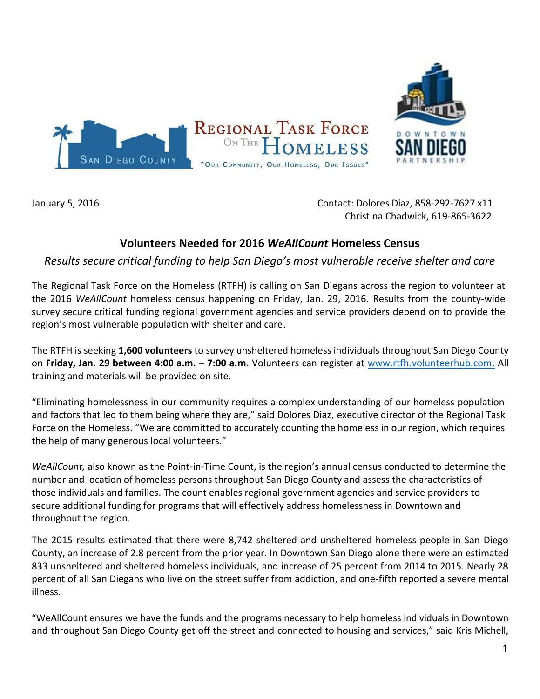

January 5, 2016 Contact: Dolores Diaz, 858-292-7627 x11 Christina Chadwick, 619-865-3622

## **Volunteers Needed for 2016** *WeAllCount* **Homeless Census**

*Results secure critical funding to help San Diego's most vulnerable receive shelter and care*

The Regional Task Force on the Homeless (RTFH) is calling on San Diegans across the region to volunteer at the 2016 *WeAllCount* homeless census happening on Friday, Jan. 29, 2016. Results from the county-wide survey secure critical funding regional government agencies and service providers depend on to provide the region's most vulnerable population with shelter and care.

The RTFH is seeking **1,600 volunteers** to survey unsheltered homeless individuals throughout San Diego County on **Friday, Jan. 29 between 4:00 a.m. – 7:00 a.m.** Volunteers can register at [www.rtfh.volunteerhub.com.](http://www.rtfh.volunteerhub.com/) All training and materials will be provided on site.

"Eliminating homelessness in our community requires a complex understanding of our homeless population and factors that led to them being where they are," said Dolores Diaz, executive director of the Regional Task Force on the Homeless. "We are committed to accurately counting the homeless in our region, which requires the help of many generous local volunteers."

*WeAllCount,* also known as the Point-in-Time Count, is the region's annual census conducted to determine the number and location of homeless persons throughout San Diego County and assess the characteristics of those individuals and families. The count enables regional government agencies and service providers to secure additional funding for programs that will effectively address homelessness in Downtown and throughout the region.

The 2015 results estimated that there were 8,742 sheltered and unsheltered homeless people in San Diego County, an increase of 2.8 percent from the prior year. In Downtown San Diego alone there were an estimated 833 unsheltered and sheltered homeless individuals, and increase of 25 percent from 2014 to 2015. Nearly 28 percent of all San Diegans who live on the street suffer from addiction, and one-fifth reported a severe mental illness.

"WeAllCount ensures we have the funds and the programs necessary to help homeless individuals in Downtown and throughout San Diego County get off the street and connected to housing and services," said Kris Michell,